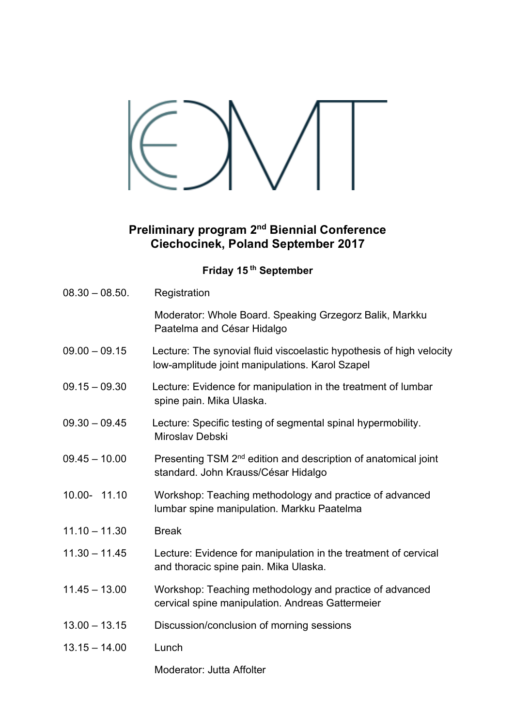## **Preliminary program 2nd Biennial Conference Ciechocinek, Poland September 2017**

## **Friday 15 th September**

| $08.30 - 08.50$ . | Registration                                                                                                            |
|-------------------|-------------------------------------------------------------------------------------------------------------------------|
|                   | Moderator: Whole Board. Speaking Grzegorz Balik, Markku<br>Paatelma and César Hidalgo                                   |
| $09.00 - 09.15$   | Lecture: The synovial fluid viscoelastic hypothesis of high velocity<br>low-amplitude joint manipulations. Karol Szapel |
| $09.15 - 09.30$   | Lecture: Evidence for manipulation in the treatment of lumbar<br>spine pain. Mika Ulaska.                               |
| $09.30 - 09.45$   | Lecture: Specific testing of segmental spinal hypermobility.<br>Miroslav Debski                                         |
| $09.45 - 10.00$   | Presenting TSM 2 <sup>nd</sup> edition and description of anatomical joint<br>standard. John Krauss/César Hidalgo       |
| 10.00- 11.10      | Workshop: Teaching methodology and practice of advanced<br>lumbar spine manipulation. Markku Paatelma                   |
| $11.10 - 11.30$   | <b>Break</b>                                                                                                            |
| $11.30 - 11.45$   | Lecture: Evidence for manipulation in the treatment of cervical<br>and thoracic spine pain. Mika Ulaska.                |
| $11.45 - 13.00$   | Workshop: Teaching methodology and practice of advanced<br>cervical spine manipulation. Andreas Gattermeier             |
| $13.00 - 13.15$   | Discussion/conclusion of morning sessions                                                                               |
| $13.15 - 14.00$   | Lunch                                                                                                                   |
|                   | Moderator: Jutta Affolter                                                                                               |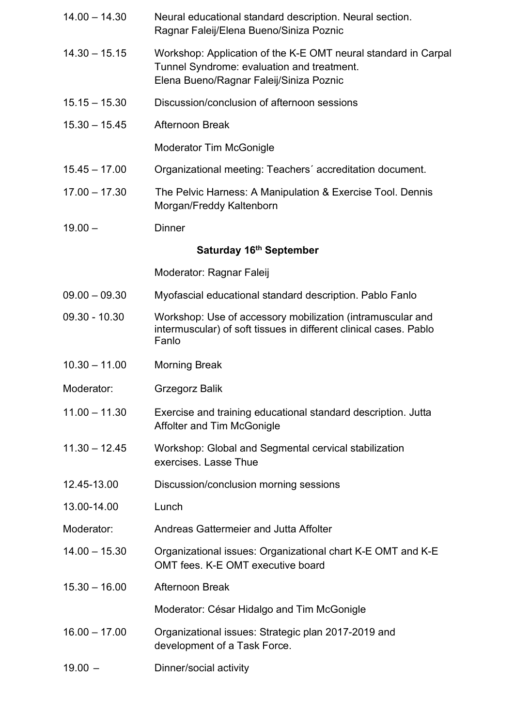| $14.00 - 14.30$         | Neural educational standard description. Neural section.<br>Ragnar Faleij/Elena Bueno/Siniza Poznic                                                     |  |
|-------------------------|---------------------------------------------------------------------------------------------------------------------------------------------------------|--|
| $14.30 - 15.15$         | Workshop: Application of the K-E OMT neural standard in Carpal<br>Tunnel Syndrome: evaluation and treatment.<br>Elena Bueno/Ragnar Faleij/Siniza Poznic |  |
| $15.15 - 15.30$         | Discussion/conclusion of afternoon sessions                                                                                                             |  |
| $15.30 - 15.45$         | <b>Afternoon Break</b>                                                                                                                                  |  |
|                         | <b>Moderator Tim McGonigle</b>                                                                                                                          |  |
| $15.45 - 17.00$         | Organizational meeting: Teachers' accreditation document.                                                                                               |  |
| $17.00 - 17.30$         | The Pelvic Harness: A Manipulation & Exercise Tool. Dennis<br>Morgan/Freddy Kaltenborn                                                                  |  |
| $19.00 -$               | <b>Dinner</b>                                                                                                                                           |  |
| Saturday 16th September |                                                                                                                                                         |  |
|                         | Moderator: Ragnar Faleij                                                                                                                                |  |
| $09.00 - 09.30$         | Myofascial educational standard description. Pablo Fanlo                                                                                                |  |
| $09.30 - 10.30$         | Workshop: Use of accessory mobilization (intramuscular and<br>intermuscular) of soft tissues in different clinical cases. Pablo<br>Fanlo                |  |
| $10.30 - 11.00$         | <b>Morning Break</b>                                                                                                                                    |  |
| Moderator:              | <b>Grzegorz Balik</b>                                                                                                                                   |  |
| $11.00 - 11.30$         | Exercise and training educational standard description. Jutta<br>Affolter and Tim McGonigle                                                             |  |
| $11.30 - 12.45$         | Workshop: Global and Segmental cervical stabilization<br>exercises. Lasse Thue                                                                          |  |
| 12.45-13.00             | Discussion/conclusion morning sessions                                                                                                                  |  |
| 13.00-14.00             | Lunch                                                                                                                                                   |  |
| Moderator:              | Andreas Gattermeier and Jutta Affolter                                                                                                                  |  |
| $14.00 - 15.30$         | Organizational issues: Organizational chart K-E OMT and K-E<br>OMT fees. K-E OMT executive board                                                        |  |
| $15.30 - 16.00$         | Afternoon Break                                                                                                                                         |  |
|                         | Moderator: César Hidalgo and Tim McGonigle                                                                                                              |  |
| $16.00 - 17.00$         | Organizational issues: Strategic plan 2017-2019 and<br>development of a Task Force.                                                                     |  |
| $19.00 -$               | Dinner/social activity                                                                                                                                  |  |